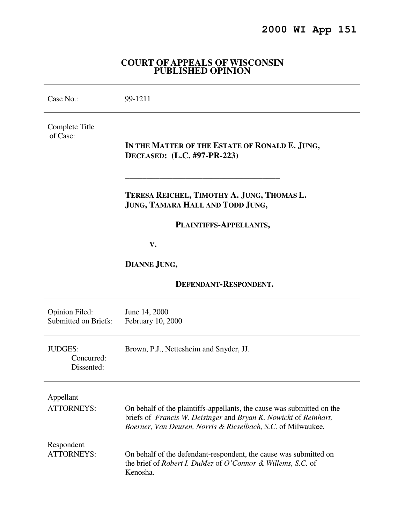# **2000 WI App 151**

### **COURT OF APPEALS OF WISCONSIN PUBLISHED OPINION**

| Case No.:                                            | 99-1211                                                                                                                                                                                                    |
|------------------------------------------------------|------------------------------------------------------------------------------------------------------------------------------------------------------------------------------------------------------------|
| Complete Title<br>of Case:                           | IN THE MATTER OF THE ESTATE OF RONALD E. JUNG,<br>DECEASED: (L.C. #97-PR-223)                                                                                                                              |
|                                                      | TERESA REICHEL, TIMOTHY A. JUNG, THOMAS L.<br>JUNG, TAMARA HALL AND TODD JUNG,                                                                                                                             |
|                                                      | PLAINTIFFS-APPELLANTS,                                                                                                                                                                                     |
|                                                      | V.                                                                                                                                                                                                         |
|                                                      | DIANNE JUNG,                                                                                                                                                                                               |
| <b>DEFENDANT-RESPONDENT.</b>                         |                                                                                                                                                                                                            |
| <b>Opinion Filed:</b><br><b>Submitted on Briefs:</b> | June 14, 2000<br>February 10, 2000                                                                                                                                                                         |
| <b>JUDGES:</b><br>Concurred:<br>Dissented:           | Brown, P.J., Nettesheim and Snyder, JJ.                                                                                                                                                                    |
| Appellant<br><b>ATTORNEYS:</b>                       | On behalf of the plaintiffs-appellants, the cause was submitted on the<br>briefs of Francis W. Deisinger and Bryan K. Nowicki of Reinhart,<br>Boerner, Van Deuren, Norris & Rieselbach, S.C. of Milwaukee. |
| Respondent<br><b>ATTORNEYS:</b>                      | On behalf of the defendant-respondent, the cause was submitted on<br>the brief of Robert I. DuMez of O'Connor & Willems, S.C. of<br>Kenosha.                                                               |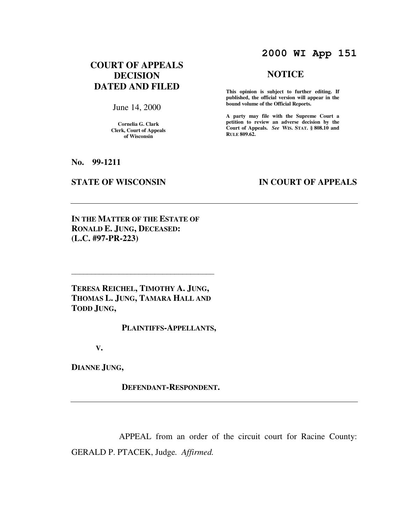# **2000 WI App 151**

## **COURT OF APPEALS DECISION DATED AND FILED**

June 14, 2000

**Cornelia G. Clark Clerk, Court of Appeals of Wisconsin** 

## **NOTICE**

**This opinion is subject to further editing. If published, the official version will appear in the bound volume of the Official Reports.**

**A party may file with the Supreme Court a petition to review an adverse decision by the Court of Appeals.** *See* **WIS. STAT. § 808.10 and RULE 809.62.** 

**No. 99-1211** 

### **STATE OF WISCONSIN BY APPEALS**

**IN THE MATTER OF THE ESTATE OF RONALD E. JUNG, DECEASED: (L.C. #97-PR-223)** 

**TERESA REICHEL, TIMOTHY A. JUNG, THOMAS L. JUNG, TAMARA HALL AND TODD JUNG,** 

 $\overline{\phantom{a}}$ 

 **PLAINTIFFS-APPELLANTS,** 

 **V.** 

**DIANNE JUNG,** 

 **DEFENDANT-RESPONDENT.** 

 APPEAL from an order of the circuit court for Racine County: GERALD P. PTACEK, Judge*. Affirmed.*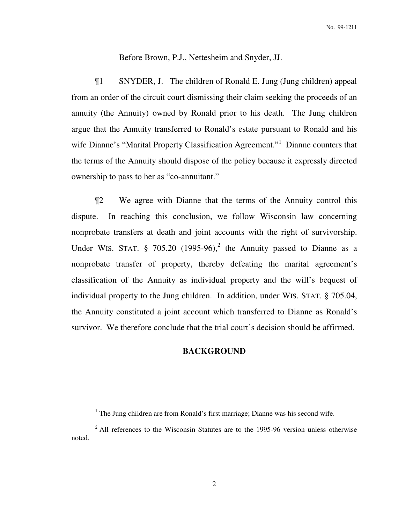Before Brown, P.J., Nettesheim and Snyder, JJ.

 ¶1 SNYDER, J. The children of Ronald E. Jung (Jung children) appeal from an order of the circuit court dismissing their claim seeking the proceeds of an annuity (the Annuity) owned by Ronald prior to his death. The Jung children argue that the Annuity transferred to Ronald's estate pursuant to Ronald and his wife Dianne's "Marital Property Classification Agreement."<sup>1</sup> Dianne counters that the terms of the Annuity should dispose of the policy because it expressly directed ownership to pass to her as "co-annuitant."

 ¶2 We agree with Dianne that the terms of the Annuity control this dispute. In reaching this conclusion, we follow Wisconsin law concerning nonprobate transfers at death and joint accounts with the right of survivorship. Under WIS. STAT.  $\S$  705.20 (1995-96),<sup>2</sup> the Annuity passed to Dianne as a nonprobate transfer of property, thereby defeating the marital agreement's classification of the Annuity as individual property and the will's bequest of individual property to the Jung children. In addition, under WIS. STAT. § 705.04, the Annuity constituted a joint account which transferred to Dianne as Ronald's survivor. We therefore conclude that the trial court's decision should be affirmed.

### **BACKGROUND**

<sup>&</sup>lt;sup>1</sup> The Jung children are from Ronald's first marriage; Dianne was his second wife.

 $2$  All references to the Wisconsin Statutes are to the 1995-96 version unless otherwise noted.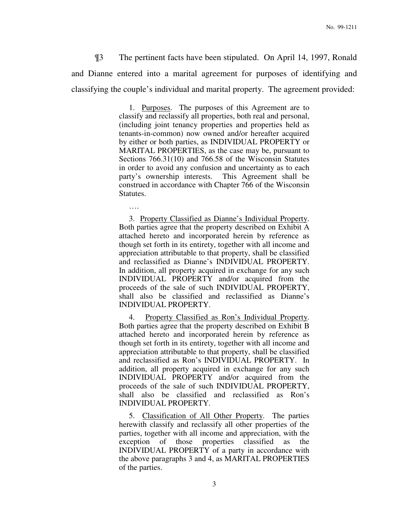¶3 The pertinent facts have been stipulated. On April 14, 1997, Ronald and Dianne entered into a marital agreement for purposes of identifying and classifying the couple's individual and marital property. The agreement provided:

> 1. Purposes. The purposes of this Agreement are to classify and reclassify all properties, both real and personal, (including joint tenancy properties and properties held as tenants-in-common) now owned and/or hereafter acquired by either or both parties, as INDIVIDUAL PROPERTY or MARITAL PROPERTIES, as the case may be, pursuant to Sections 766.31(10) and 766.58 of the Wisconsin Statutes in order to avoid any confusion and uncertainty as to each party's ownership interests. This Agreement shall be construed in accordance with Chapter 766 of the Wisconsin Statutes.

> 3. Property Classified as Dianne's Individual Property. Both parties agree that the property described on Exhibit A attached hereto and incorporated herein by reference as though set forth in its entirety, together with all income and appreciation attributable to that property, shall be classified and reclassified as Dianne's INDIVIDUAL PROPERTY. In addition, all property acquired in exchange for any such INDIVIDUAL PROPERTY and/or acquired from the proceeds of the sale of such INDIVIDUAL PROPERTY, shall also be classified and reclassified as Dianne's INDIVIDUAL PROPERTY.

….

 4. Property Classified as Ron's Individual Property. Both parties agree that the property described on Exhibit B attached hereto and incorporated herein by reference as though set forth in its entirety, together with all income and appreciation attributable to that property, shall be classified and reclassified as Ron's INDIVIDUAL PROPERTY. In addition, all property acquired in exchange for any such INDIVIDUAL PROPERTY and/or acquired from the proceeds of the sale of such INDIVIDUAL PROPERTY, shall also be classified and reclassified as Ron's INDIVIDUAL PROPERTY.

5. Classification of All Other Property. The parties herewith classify and reclassify all other properties of the parties, together with all income and appreciation, with the exception of those properties classified as the INDIVIDUAL PROPERTY of a party in accordance with the above paragraphs 3 and 4, as MARITAL PROPERTIES of the parties.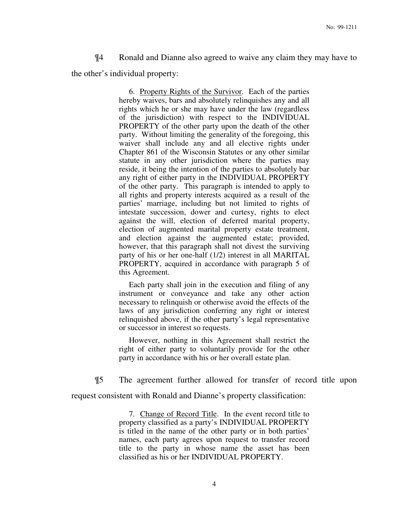¶4 Ronald and Dianne also agreed to waive any claim they may have to the other's individual property:

> 6. Property Rights of the Survivor. Each of the parties hereby waives, bars and absolutely relinquishes any and all rights which he or she may have under the law (regardless of the jurisdiction) with respect to the INDIVIDUAL PROPERTY of the other party upon the death of the other party. Without limiting the generality of the foregoing, this waiver shall include any and all elective rights under Chapter 861 of the Wisconsin Statutes or any other similar statute in any other jurisdiction where the parties may reside, it being the intention of the parties to absolutely bar any right of either party in the INDIVIDUAL PROPERTY of the other party. This paragraph is intended to apply to all rights and property interests acquired as a result of the parties' marriage, including but not limited to rights of intestate succession, dower and curtesy, rights to elect against the will, election of deferred marital property, election of augmented marital property estate treatment, and election against the augmented estate; provided, however, that this paragraph shall not divest the surviving party of his or her one-half (1/2) interest in all MARITAL PROPERTY, acquired in accordance with paragraph 5 of this Agreement.

> Each party shall join in the execution and filing of any instrument or conveyance and take any other action necessary to relinquish or otherwise avoid the effects of the laws of any jurisdiction conferring any right or interest relinquished above, if the other party's legal representative or successor in interest so requests.

> However, nothing in this Agreement shall restrict the right of either party to voluntarily provide for the other party in accordance with his or her overall estate plan.

¶5 The agreement further allowed for transfer of record title upon

request consistent with Ronald and Dianne's property classification:

 7. Change of Record Title. In the event record title to property classified as a party's INDIVIDUAL PROPERTY is titled in the name of the other party or in both parties' names, each party agrees upon request to transfer record title to the party in whose name the asset has been classified as his or her INDIVIDUAL PROPERTY.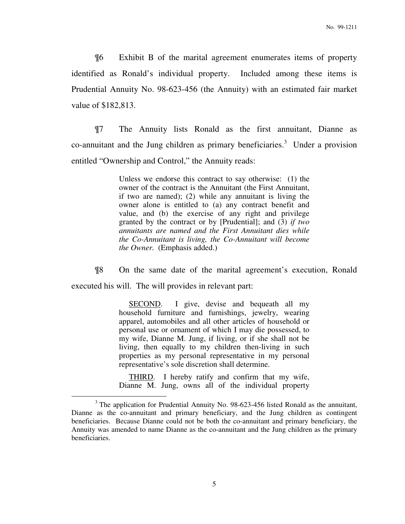¶6 Exhibit B of the marital agreement enumerates items of property identified as Ronald's individual property. Included among these items is Prudential Annuity No. 98-623-456 (the Annuity) with an estimated fair market value of \$182,813.

 ¶7 The Annuity lists Ronald as the first annuitant, Dianne as co-annuitant and the Jung children as primary beneficiaries.<sup>3</sup> Under a provision entitled "Ownership and Control," the Annuity reads:

> Unless we endorse this contract to say otherwise: (1) the owner of the contract is the Annuitant (the First Annuitant, if two are named); (2) while any annuitant is living the owner alone is entitled to (a) any contract benefit and value, and (b) the exercise of any right and privilege granted by the contract or by [Prudential]; and (3) *if two annuitants are named and the First Annuitant dies while the Co-Annuitant is living, the Co-Annuitant will become the Owner.* (Emphasis added.)

 ¶8 On the same date of the marital agreement's execution, Ronald executed his will. The will provides in relevant part:

> SECOND. I give, devise and bequeath all my household furniture and furnishings, jewelry, wearing apparel, automobiles and all other articles of household or personal use or ornament of which I may die possessed, to my wife, Dianne M. Jung, if living, or if she shall not be living, then equally to my children then-living in such properties as my personal representative in my personal representative's sole discretion shall determine.

> THIRD. I hereby ratify and confirm that my wife, Dianne M. Jung, owns all of the individual property

 $3$  The application for Prudential Annuity No. 98-623-456 listed Ronald as the annuitant, Dianne as the co-annuitant and primary beneficiary, and the Jung children as contingent beneficiaries. Because Dianne could not be both the co-annuitant and primary beneficiary, the Annuity was amended to name Dianne as the co-annuitant and the Jung children as the primary beneficiaries.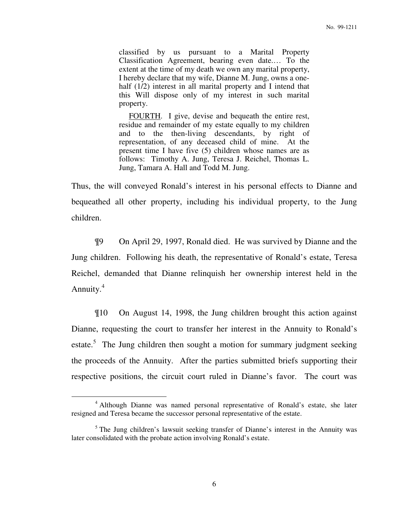classified by us pursuant to a Marital Property Classification Agreement, bearing even date.… To the extent at the time of my death we own any marital property, I hereby declare that my wife, Dianne M. Jung, owns a onehalf (1/2) interest in all marital property and I intend that this Will dispose only of my interest in such marital property.

 FOURTH. I give, devise and bequeath the entire rest, residue and remainder of my estate equally to my children and to the then-living descendants, by right of representation, of any deceased child of mine. At the present time I have five (5) children whose names are as follows: Timothy A. Jung, Teresa J. Reichel, Thomas L. Jung, Tamara A. Hall and Todd M. Jung.

Thus, the will conveyed Ronald's interest in his personal effects to Dianne and bequeathed all other property, including his individual property, to the Jung children.

 ¶9 On April 29, 1997, Ronald died. He was survived by Dianne and the Jung children. Following his death, the representative of Ronald's estate, Teresa Reichel, demanded that Dianne relinquish her ownership interest held in the Annuity.<sup>4</sup>

 ¶10 On August 14, 1998, the Jung children brought this action against Dianne, requesting the court to transfer her interest in the Annuity to Ronald's estate.<sup>5</sup> The Jung children then sought a motion for summary judgment seeking the proceeds of the Annuity. After the parties submitted briefs supporting their respective positions, the circuit court ruled in Dianne's favor. The court was

<sup>&</sup>lt;sup>4</sup> Although Dianne was named personal representative of Ronald's estate, she later resigned and Teresa became the successor personal representative of the estate.

<sup>&</sup>lt;sup>5</sup> The Jung children's lawsuit seeking transfer of Dianne's interest in the Annuity was later consolidated with the probate action involving Ronald's estate.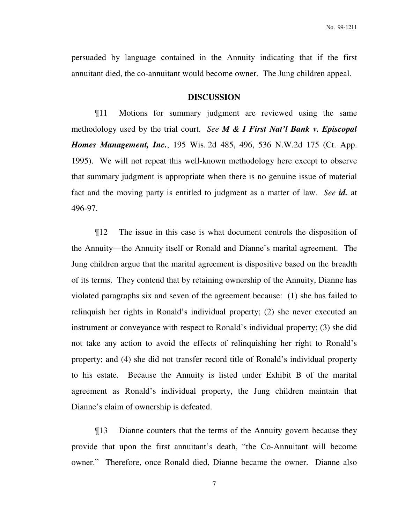persuaded by language contained in the Annuity indicating that if the first annuitant died, the co-annuitant would become owner. The Jung children appeal.

### **DISCUSSION**

 ¶11 Motions for summary judgment are reviewed using the same methodology used by the trial court. *See M & I First Nat'l Bank v. Episcopal Homes Management, Inc.*, 195 Wis. 2d 485, 496, 536 N.W.2d 175 (Ct. App. 1995). We will not repeat this well-known methodology here except to observe that summary judgment is appropriate when there is no genuine issue of material fact and the moving party is entitled to judgment as a matter of law. *See id.* at 496-97.

 ¶12 The issue in this case is what document controls the disposition of the Annuity—the Annuity itself or Ronald and Dianne's marital agreement. The Jung children argue that the marital agreement is dispositive based on the breadth of its terms. They contend that by retaining ownership of the Annuity, Dianne has violated paragraphs six and seven of the agreement because: (1) she has failed to relinquish her rights in Ronald's individual property; (2) she never executed an instrument or conveyance with respect to Ronald's individual property; (3) she did not take any action to avoid the effects of relinquishing her right to Ronald's property; and (4) she did not transfer record title of Ronald's individual property to his estate. Because the Annuity is listed under Exhibit B of the marital agreement as Ronald's individual property, the Jung children maintain that Dianne's claim of ownership is defeated.

 ¶13 Dianne counters that the terms of the Annuity govern because they provide that upon the first annuitant's death, "the Co-Annuitant will become owner." Therefore, once Ronald died, Dianne became the owner. Dianne also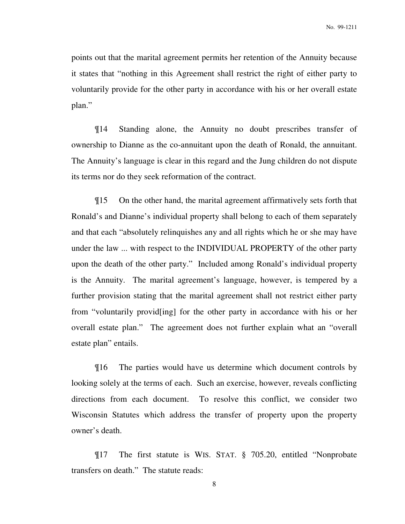points out that the marital agreement permits her retention of the Annuity because it states that "nothing in this Agreement shall restrict the right of either party to voluntarily provide for the other party in accordance with his or her overall estate plan."

 ¶14 Standing alone, the Annuity no doubt prescribes transfer of ownership to Dianne as the co-annuitant upon the death of Ronald, the annuitant. The Annuity's language is clear in this regard and the Jung children do not dispute its terms nor do they seek reformation of the contract.

 ¶15 On the other hand, the marital agreement affirmatively sets forth that Ronald's and Dianne's individual property shall belong to each of them separately and that each "absolutely relinquishes any and all rights which he or she may have under the law ... with respect to the INDIVIDUAL PROPERTY of the other party upon the death of the other party." Included among Ronald's individual property is the Annuity. The marital agreement's language, however, is tempered by a further provision stating that the marital agreement shall not restrict either party from "voluntarily provid[ing] for the other party in accordance with his or her overall estate plan." The agreement does not further explain what an "overall estate plan" entails.

 ¶16 The parties would have us determine which document controls by looking solely at the terms of each. Such an exercise, however, reveals conflicting directions from each document. To resolve this conflict, we consider two Wisconsin Statutes which address the transfer of property upon the property owner's death.

 ¶17 The first statute is WIS. STAT. § 705.20, entitled "Nonprobate transfers on death." The statute reads: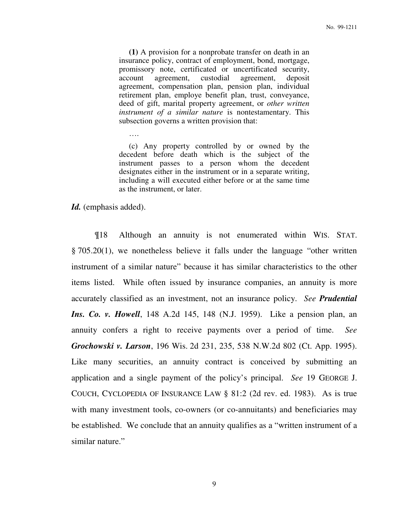**(1)** A provision for a nonprobate transfer on death in an insurance policy, contract of employment, bond, mortgage, promissory note, certificated or uncertificated security, account agreement, custodial agreement, deposit agreement, compensation plan, pension plan, individual retirement plan, employe benefit plan, trust, conveyance, deed of gift, marital property agreement, or *other written instrument of a similar nature* is nontestamentary. This subsection governs a written provision that:

 (c) Any property controlled by or owned by the decedent before death which is the subject of the instrument passes to a person whom the decedent designates either in the instrument or in a separate writing, including a will executed either before or at the same time as the instrument, or later.

*Id.* (emphasis added).

….

 ¶18 Although an annuity is not enumerated within WIS. STAT. § 705.20(1), we nonetheless believe it falls under the language "other written instrument of a similar nature" because it has similar characteristics to the other items listed. While often issued by insurance companies, an annuity is more accurately classified as an investment, not an insurance policy. *See Prudential Ins. Co. v. Howell*, 148 A.2d 145, 148 (N.J. 1959). Like a pension plan, an annuity confers a right to receive payments over a period of time. *See Grochowski v. Larson*, 196 Wis. 2d 231, 235, 538 N.W.2d 802 (Ct. App. 1995). Like many securities, an annuity contract is conceived by submitting an application and a single payment of the policy's principal. *See* 19 GEORGE J. COUCH, CYCLOPEDIA OF INSURANCE LAW § 81:2 (2d rev. ed. 1983). As is true with many investment tools, co-owners (or co-annuitants) and beneficiaries may be established. We conclude that an annuity qualifies as a "written instrument of a similar nature."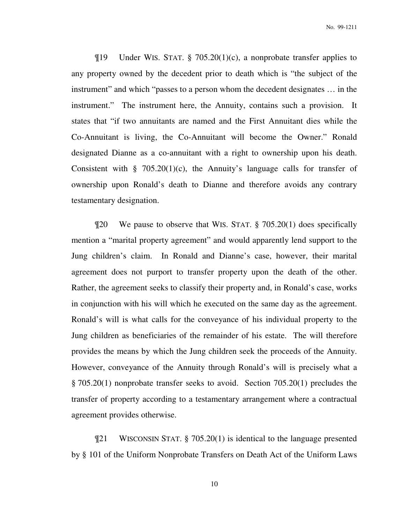$\P$ 19 Under WIS. STAT. § 705.20(1)(c), a nonprobate transfer applies to any property owned by the decedent prior to death which is "the subject of the instrument" and which "passes to a person whom the decedent designates … in the instrument." The instrument here, the Annuity, contains such a provision. It states that "if two annuitants are named and the First Annuitant dies while the Co-Annuitant is living, the Co-Annuitant will become the Owner." Ronald designated Dianne as a co-annuitant with a right to ownership upon his death. Consistent with § 705.20(1)(c), the Annuity's language calls for transfer of ownership upon Ronald's death to Dianne and therefore avoids any contrary testamentary designation.

 ¶20 We pause to observe that WIS. STAT. § 705.20(1) does specifically mention a "marital property agreement" and would apparently lend support to the Jung children's claim. In Ronald and Dianne's case, however, their marital agreement does not purport to transfer property upon the death of the other. Rather, the agreement seeks to classify their property and, in Ronald's case, works in conjunction with his will which he executed on the same day as the agreement. Ronald's will is what calls for the conveyance of his individual property to the Jung children as beneficiaries of the remainder of his estate. The will therefore provides the means by which the Jung children seek the proceeds of the Annuity. However, conveyance of the Annuity through Ronald's will is precisely what a § 705.20(1) nonprobate transfer seeks to avoid. Section 705.20(1) precludes the transfer of property according to a testamentary arrangement where a contractual agreement provides otherwise.

 ¶21 WISCONSIN STAT. § 705.20(1) is identical to the language presented by § 101 of the Uniform Nonprobate Transfers on Death Act of the Uniform Laws

10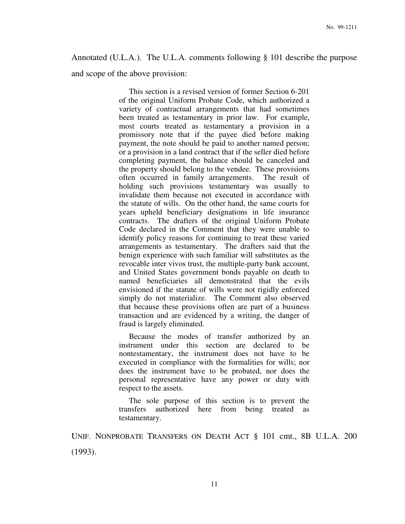# Annotated (U.L.A.). The U.L.A. comments following § 101 describe the purpose

and scope of the above provision:

 This section is a revised version of former Section 6-201 of the original Uniform Probate Code, which authorized a variety of contractual arrangements that had sometimes been treated as testamentary in prior law. For example, most courts treated as testamentary a provision in a promissory note that if the payee died before making payment, the note should be paid to another named person; or a provision in a land contract that if the seller died before completing payment, the balance should be canceled and the property should belong to the vendee. These provisions often occurred in family arrangements. The result of holding such provisions testamentary was usually to invalidate them because not executed in accordance with the statute of wills. On the other hand, the same courts for years upheld beneficiary designations in life insurance contracts. The drafters of the original Uniform Probate Code declared in the Comment that they were unable to identify policy reasons for continuing to treat these varied arrangements as testamentary. The drafters said that the benign experience with such familiar will substitutes as the revocable inter vivos trust, the multiple-party bank account, and United States government bonds payable on death to named beneficiaries all demonstrated that the evils envisioned if the statute of wills were not rigidly enforced simply do not materialize. The Comment also observed that because these provisions often are part of a business transaction and are evidenced by a writing, the danger of fraud is largely eliminated.

 Because the modes of transfer authorized by an instrument under this section are declared to be nontestamentary, the instrument does not have to be executed in compliance with the formalities for wills; nor does the instrument have to be probated, nor does the personal representative have any power or duty with respect to the assets.

 The sole purpose of this section is to prevent the transfers authorized here from being treated as testamentary.

UNIF. NONPROBATE TRANSFERS ON DEATH ACT § 101 cmt., 8B U.L.A. 200 (1993).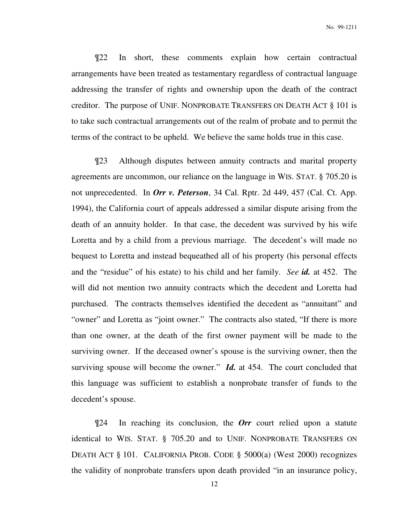¶22 In short, these comments explain how certain contractual arrangements have been treated as testamentary regardless of contractual language addressing the transfer of rights and ownership upon the death of the contract creditor. The purpose of UNIF. NONPROBATE TRANSFERS ON DEATH ACT § 101 is to take such contractual arrangements out of the realm of probate and to permit the terms of the contract to be upheld. We believe the same holds true in this case.

 ¶23 Although disputes between annuity contracts and marital property agreements are uncommon, our reliance on the language in WIS. STAT. § 705.20 is not unprecedented. In *Orr v. Peterson*, 34 Cal. Rptr. 2d 449, 457 (Cal. Ct. App. 1994), the California court of appeals addressed a similar dispute arising from the death of an annuity holder. In that case, the decedent was survived by his wife Loretta and by a child from a previous marriage. The decedent's will made no bequest to Loretta and instead bequeathed all of his property (his personal effects and the "residue" of his estate) to his child and her family. *See id.* at 452. The will did not mention two annuity contracts which the decedent and Loretta had purchased. The contracts themselves identified the decedent as "annuitant" and "owner" and Loretta as "joint owner." The contracts also stated, "If there is more than one owner, at the death of the first owner payment will be made to the surviving owner. If the deceased owner's spouse is the surviving owner, then the surviving spouse will become the owner." *Id.* at 454. The court concluded that this language was sufficient to establish a nonprobate transfer of funds to the decedent's spouse.

 ¶24 In reaching its conclusion, the *Orr* court relied upon a statute identical to WIS. STAT. § 705.20 and to UNIF. NONPROBATE TRANSFERS ON DEATH ACT § 101. CALIFORNIA PROB. CODE § 5000(a) (West 2000) recognizes the validity of nonprobate transfers upon death provided "in an insurance policy,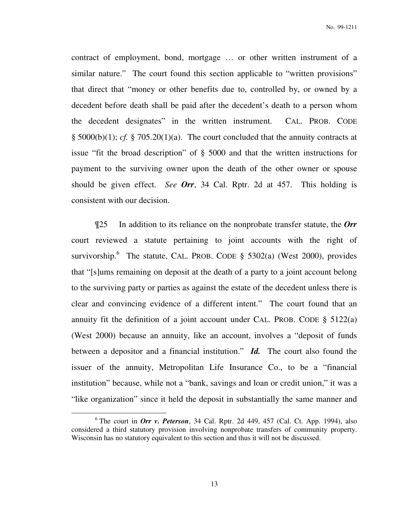contract of employment, bond, mortgage … or other written instrument of a similar nature." The court found this section applicable to "written provisions" that direct that "money or other benefits due to, controlled by, or owned by a decedent before death shall be paid after the decedent's death to a person whom the decedent designates" in the written instrument. CAL. PROB. CODE  $\S$  5000(b)(1); *cf.*  $\S$  705.20(1)(a). The court concluded that the annuity contracts at issue "fit the broad description" of § 5000 and that the written instructions for payment to the surviving owner upon the death of the other owner or spouse should be given effect. *See Orr*, 34 Cal. Rptr. 2d at 457. This holding is consistent with our decision.

 ¶25 In addition to its reliance on the nonprobate transfer statute, the *Orr* court reviewed a statute pertaining to joint accounts with the right of survivorship.<sup>6</sup> The statute, CAL. PROB. CODE § 5302(a) (West 2000), provides that "[s]ums remaining on deposit at the death of a party to a joint account belong to the surviving party or parties as against the estate of the decedent unless there is clear and convincing evidence of a different intent." The court found that an annuity fit the definition of a joint account under CAL. PROB. CODE  $\S$  5122(a) (West 2000) because an annuity, like an account, involves a "deposit of funds between a depositor and a financial institution." *Id.* The court also found the issuer of the annuity, Metropolitan Life Insurance Co., to be a "financial institution" because, while not a "bank, savings and loan or credit union," it was a "like organization" since it held the deposit in substantially the same manner and

 $6$  The court in *Orr v. Peterson*, 34 Cal. Rptr. 2d 449, 457 (Cal. Ct. App. 1994), also considered a third statutory provision involving nonprobate transfers of community property. Wisconsin has no statutory equivalent to this section and thus it will not be discussed.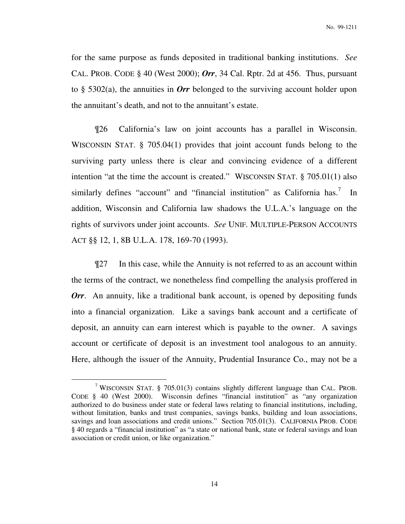for the same purpose as funds deposited in traditional banking institutions. *See*  CAL. PROB. CODE § 40 (West 2000); *Orr*, 34 Cal. Rptr. 2d at 456. Thus, pursuant to § 5302(a), the annuities in *Orr* belonged to the surviving account holder upon the annuitant's death, and not to the annuitant's estate.

 ¶26 California's law on joint accounts has a parallel in Wisconsin. WISCONSIN STAT. § 705.04(1) provides that joint account funds belong to the surviving party unless there is clear and convincing evidence of a different intention "at the time the account is created." WISCONSIN STAT. § 705.01(1) also similarly defines "account" and "financial institution" as California has.<sup>7</sup> In addition, Wisconsin and California law shadows the U.L.A.'s language on the rights of survivors under joint accounts. *See* UNIF. MULTIPLE-PERSON ACCOUNTS ACT §§ 12, 1, 8B U.L.A. 178, 169-70 (1993).

 ¶27 In this case, while the Annuity is not referred to as an account within the terms of the contract, we nonetheless find compelling the analysis proffered in *Orr*. An annuity, like a traditional bank account, is opened by depositing funds into a financial organization. Like a savings bank account and a certificate of deposit, an annuity can earn interest which is payable to the owner. A savings account or certificate of deposit is an investment tool analogous to an annuity. Here, although the issuer of the Annuity, Prudential Insurance Co., may not be a

<sup>&</sup>lt;sup>7</sup> WISCONSIN STAT. § 705.01(3) contains slightly different language than CAL. PROB. CODE § 40 (West 2000). Wisconsin defines "financial institution" as "any organization authorized to do business under state or federal laws relating to financial institutions, including, without limitation, banks and trust companies, savings banks, building and loan associations, savings and loan associations and credit unions." Section 705.01(3). CALIFORNIA PROB. CODE § 40 regards a "financial institution" as "a state or national bank, state or federal savings and loan association or credit union, or like organization."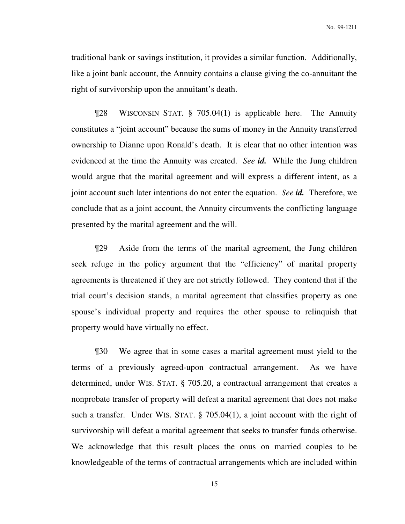traditional bank or savings institution, it provides a similar function. Additionally, like a joint bank account, the Annuity contains a clause giving the co-annuitant the right of survivorship upon the annuitant's death.

 ¶28 WISCONSIN STAT. § 705.04(1) is applicable here. The Annuity constitutes a "joint account" because the sums of money in the Annuity transferred ownership to Dianne upon Ronald's death. It is clear that no other intention was evidenced at the time the Annuity was created. *See id.* While the Jung children would argue that the marital agreement and will express a different intent, as a joint account such later intentions do not enter the equation. *See id.* Therefore, we conclude that as a joint account, the Annuity circumvents the conflicting language presented by the marital agreement and the will.

 ¶29 Aside from the terms of the marital agreement, the Jung children seek refuge in the policy argument that the "efficiency" of marital property agreements is threatened if they are not strictly followed. They contend that if the trial court's decision stands, a marital agreement that classifies property as one spouse's individual property and requires the other spouse to relinquish that property would have virtually no effect.

 ¶30 We agree that in some cases a marital agreement must yield to the terms of a previously agreed-upon contractual arrangement. As we have determined, under WIS. STAT. § 705.20, a contractual arrangement that creates a nonprobate transfer of property will defeat a marital agreement that does not make such a transfer. Under WIS. STAT. § 705.04(1), a joint account with the right of survivorship will defeat a marital agreement that seeks to transfer funds otherwise. We acknowledge that this result places the onus on married couples to be knowledgeable of the terms of contractual arrangements which are included within